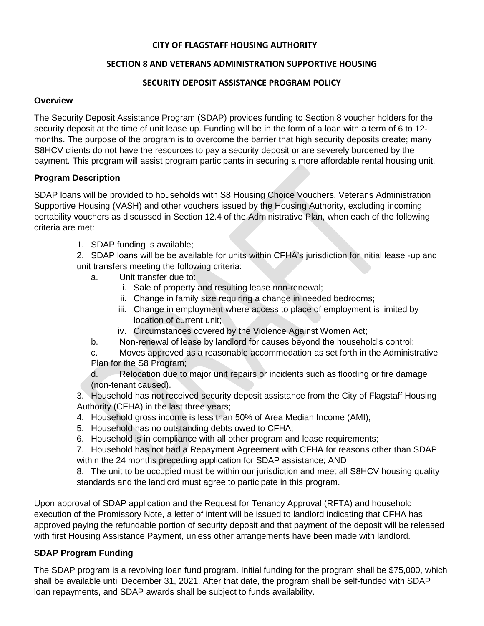## **CITY OF FLAGSTAFF HOUSING AUTHORITY**

## **SECTION 8 AND VETERANS ADMINISTRATION SUPPORTIVE HOUSING**

## **SECURITY DEPOSIT ASSISTANCE PROGRAM POLICY**

#### **Overview**

The Security Deposit Assistance Program (SDAP) provides funding to Section 8 voucher holders for the security deposit at the time of unit lease up. Funding will be in the form of a loan with a term of 6 to 12 months. The purpose of the program is to overcome the barrier that high security deposits create; many S8HCV clients do not have the resources to pay a security deposit or are severely burdened by the payment. This program will assist program participants in securing a more affordable rental housing unit.

### **Program Description**

SDAP loans will be provided to households with S8 Housing Choice Vouchers, Veterans Administration Supportive Housing (VASH) and other vouchers issued by the Housing Authority, excluding incoming portability vouchers as discussed in Section 12.4 of the Administrative Plan, when each of the following criteria are met:

1. SDAP funding is available;

2. SDAP loans will be be available for units within CFHA's jurisdiction for initial lease -up and unit transfers meeting the following criteria:

- a. Unit transfer due to:
	- i. Sale of property and resulting lease non-renewal;
	- ii. Change in family size requiring a change in needed bedrooms;
	- iii. Change in employment where access to place of employment is limited by location of current unit;
	- iv. Circumstances covered by the Violence Against Women Act;
- b. Non-renewal of lease by landlord for causes beyond the household's control;
- c. Moves approved as a reasonable accommodation as set forth in the Administrative Plan for the S8 Program;
- d. Relocation due to major unit repairs or incidents such as flooding or fire damage (non-tenant caused).

3. Household has not received security deposit assistance from the City of Flagstaff Housing Authority (CFHA) in the last three years;

- 4. Household gross income is less than 50% of Area Median Income (AMI);
- 5. Household has no outstanding debts owed to CFHA;
- 6. Household is in compliance with all other program and lease requirements;

7. Household has not had a Repayment Agreement with CFHA for reasons other than SDAP within the 24 months preceding application for SDAP assistance; AND

8. The unit to be occupied must be within our jurisdiction and meet all S8HCV housing quality standards and the landlord must agree to participate in this program.

Upon approval of SDAP application and the Request for Tenancy Approval (RFTA) and household execution of the Promissory Note, a letter of intent will be issued to landlord indicating that CFHA has approved paying the refundable portion of security deposit and that payment of the deposit will be released with first Housing Assistance Payment, unless other arrangements have been made with landlord.

## **SDAP Program Funding**

The SDAP program is a revolving loan fund program. Initial funding for the program shall be \$75,000, which shall be available until December 31, 2021. After that date, the program shall be self-funded with SDAP loan repayments, and SDAP awards shall be subject to funds availability.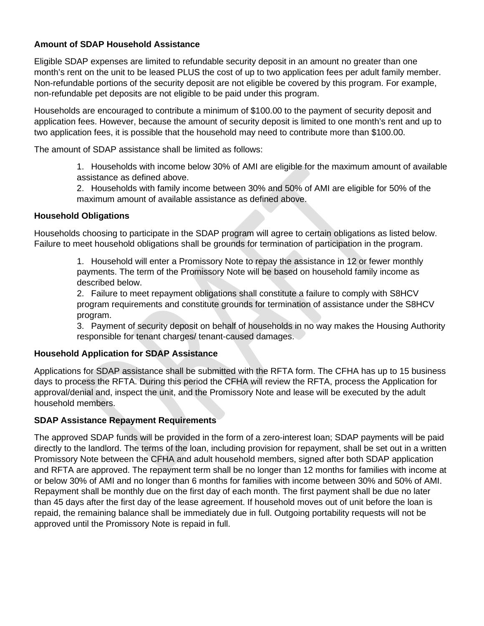## **Amount of SDAP Household Assistance**

Eligible SDAP expenses are limited to refundable security deposit in an amount no greater than one month's rent on the unit to be leased PLUS the cost of up to two application fees per adult family member. Non-refundable portions of the security deposit are not eligible be covered by this program. For example, non-refundable pet deposits are not eligible to be paid under this program.

Households are encouraged to contribute a minimum of \$100.00 to the payment of security deposit and application fees. However, because the amount of security deposit is limited to one month's rent and up to two application fees, it is possible that the household may need to contribute more than \$100.00.

The amount of SDAP assistance shall be limited as follows:

1. Households with income below 30% of AMI are eligible for the maximum amount of available assistance as defined above.

2. Households with family income between 30% and 50% of AMI are eligible for 50% of the maximum amount of available assistance as defined above.

### **Household Obligations**

Households choosing to participate in the SDAP program will agree to certain obligations as listed below. Failure to meet household obligations shall be grounds for termination of participation in the program.

> 1. Household will enter a Promissory Note to repay the assistance in 12 or fewer monthly payments. The term of the Promissory Note will be based on household family income as described below.

2. Failure to meet repayment obligations shall constitute a failure to comply with S8HCV program requirements and constitute grounds for termination of assistance under the S8HCV program.

3. Payment of security deposit on behalf of households in no way makes the Housing Authority responsible for tenant charges/ tenant-caused damages.

### **Household Application for SDAP Assistance**

Applications for SDAP assistance shall be submitted with the RFTA form. The CFHA has up to 15 business days to process the RFTA. During this period the CFHA will review the RFTA, process the Application for approval/denial and, inspect the unit, and the Promissory Note and lease will be executed by the adult household members.

## **SDAP Assistance Repayment Requirements**

The approved SDAP funds will be provided in the form of a zero-interest loan; SDAP payments will be paid directly to the landlord. The terms of the loan, including provision for repayment, shall be set out in a written Promissory Note between the CFHA and adult household members, signed after both SDAP application and RFTA are approved. The repayment term shall be no longer than 12 months for families with income at or below 30% of AMI and no longer than 6 months for families with income between 30% and 50% of AMI. Repayment shall be monthly due on the first day of each month. The first payment shall be due no later than 45 days after the first day of the lease agreement. If household moves out of unit before the loan is repaid, the remaining balance shall be immediately due in full. Outgoing portability requests will not be approved until the Promissory Note is repaid in full.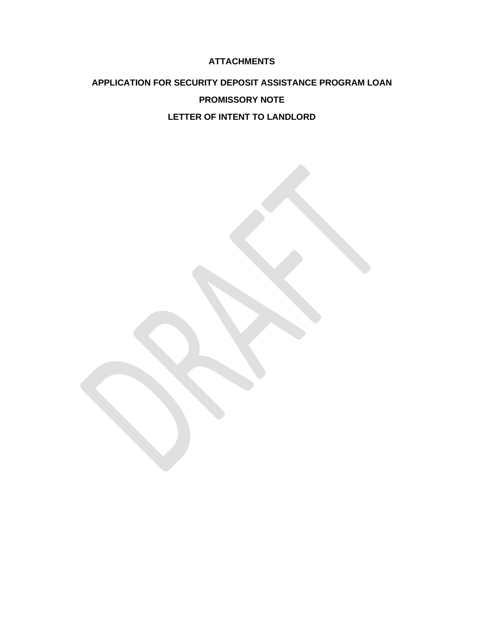## **ATTACHMENTS**

# **APPLICATION FOR SECURITY DEPOSIT ASSISTANCE PROGRAM LOAN PROMISSORY NOTE LETTER OF INTENT TO LANDLORD**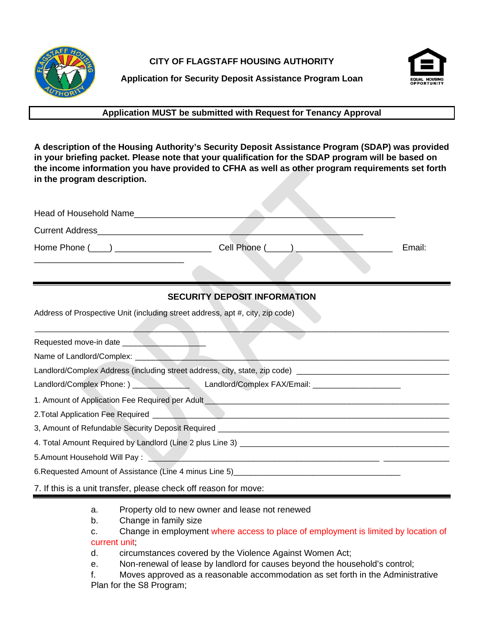

**CITY OF FLAGSTAFF HOUSING AUTHORITY**



**Application for Security Deposit Assistance Program Loan**

## **Application MUST be submitted with Request for Tenancy Approval**

**A description of the Housing Authority's Security Deposit Assistance Program (SDAP) was provided in your briefing packet. Please note that your qualification for the SDAP program will be based on the income information you have provided to CFHA as well as other program requirements set forth in the program description.**

| Head of Household Name               |              |        |
|--------------------------------------|--------------|--------|
| <b>Current Address</b>               |              |        |
| Home Phone (____) __________________ | Cell Phone ( | Email: |
|                                      |              |        |

## **SECURITY DEPOSIT INFORMATION**

Address of Prospective Unit (including street address, apt #, city, zip code)

| Requested move-in date                                                                                                                                                                                                         |
|--------------------------------------------------------------------------------------------------------------------------------------------------------------------------------------------------------------------------------|
| Name of Landlord/Complex: Name of Landlord/Complex:                                                                                                                                                                            |
| Landlord/Complex Address (including street address, city, state, zip code) ________________________                                                                                                                            |
|                                                                                                                                                                                                                                |
| 1. Amount of Application Fee Required per Adult <b>Markov Action</b> 2014                                                                                                                                                      |
|                                                                                                                                                                                                                                |
|                                                                                                                                                                                                                                |
|                                                                                                                                                                                                                                |
| 5.Amount Household Will Pay: \\contact \\contact \\contact \\contact \\contact \\contact \\contact \\contact \\contact \\contact \\contact \\contact \\contact \\contact \\contact \\contact \\contact \\contact \\contact \\c |
| 6. Requested Amount of Assistance (Line 4 minus Line 5) _________________________                                                                                                                                              |
| 7. If this is a unit transfer, please check off reason for move:                                                                                                                                                               |

- a. Property old to new owner and lease not renewed
- b. Change in family size
- c. Change in employment where access to place of employment is limited by location of current unit;
- d. circumstances covered by the Violence Against Women Act;
- e. Non-renewal of lease by landlord for causes beyond the household's control;
- f. Moves approved as a reasonable accommodation as set forth in the Administrative Plan for the S8 Program;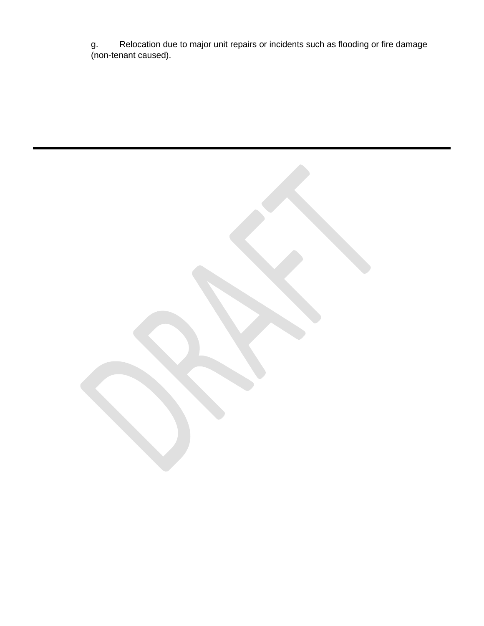g. Relocation due to major unit repairs or incidents such as flooding or fire damage (non-tenant caused).

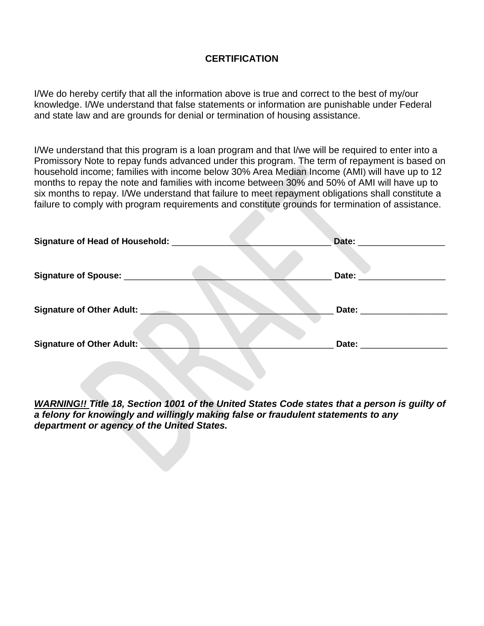## **CERTIFICATION**

I/We do hereby certify that all the information above is true and correct to the best of my/our knowledge. I/We understand that false statements or information are punishable under Federal and state law and are grounds for denial or termination of housing assistance.

I/We understand that this program is a loan program and that I/we will be required to enter into a Promissory Note to repay funds advanced under this program. The term of repayment is based on household income; families with income below 30% Area Median Income (AMI) will have up to 12 months to repay the note and families with income between 30% and 50% of AMI will have up to six months to repay. I/We understand that failure to meet repayment obligations shall constitute a failure to comply with program requirements and constitute grounds for termination of assistance.

| Signature of Head of Household: ________ | Date: the contract of the contract of the contract of the contract of the contract of the contract of the contract of the contract of the contract of the contract of the contract of the contract of the contract of the cont |
|------------------------------------------|--------------------------------------------------------------------------------------------------------------------------------------------------------------------------------------------------------------------------------|
| Signature of Spouse: ______________      | Date:                                                                                                                                                                                                                          |
| Signature of Other Adult:                | Date:                                                                                                                                                                                                                          |
| <b>Signature of Other Adult:</b>         | Date:                                                                                                                                                                                                                          |

*WARNING!! Title 18, Section 1001 of the United States Code states that a person is guilty of a felony for knowingly and willingly making false or fraudulent statements to any department or agency of the United States.*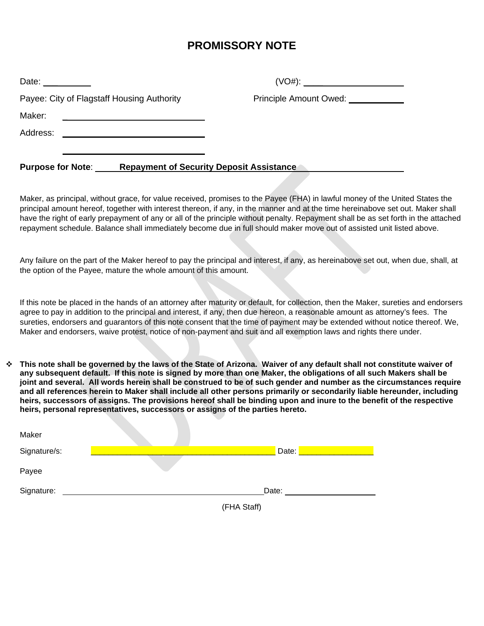# **PROMISSORY NOTE**

| Date: $\frac{1}{\sqrt{1-\frac{1}{2}} \cdot \frac{1}{\sqrt{1-\frac{1}{2}} \cdot \frac{1}{2}} \cdot \frac{1}{\sqrt{1-\frac{1}{2}} \cdot \frac{1}{2}}$ |                                              |
|-----------------------------------------------------------------------------------------------------------------------------------------------------|----------------------------------------------|
| Payee: City of Flagstaff Housing Authority                                                                                                          | Principle Amount Owed: <u>______________</u> |
| Maker:<br><u> 1980 - Jan Barbara Barbara, maska bilan bilan bilan bilan bilan bilan bilan bilan bilan bilan bilan bilan bi</u>                      |                                              |
| Address:                                                                                                                                            |                                              |
| <b>Purpose for Note:</b><br><b>Repayment of Security Deposit Assistance</b>                                                                         |                                              |

Maker, as principal, without grace, for value received, promises to the Payee (FHA) in lawful money of the United States the principal amount hereof, together with interest thereon, if any, in the manner and at the time hereinabove set out. Maker shall have the right of early prepayment of any or all of the principle without penalty. Repayment shall be as set forth in the attached repayment schedule. Balance shall immediately become due in full should maker move out of assisted unit listed above.

Any failure on the part of the Maker hereof to pay the principal and interest, if any, as hereinabove set out, when due, shall, at the option of the Payee, mature the whole amount of this amount.

If this note be placed in the hands of an attorney after maturity or default, for collection, then the Maker, sureties and endorsers agree to pay in addition to the principal and interest, if any, then due hereon, a reasonable amount as attorney's fees. The sureties, endorsers and guarantors of this note consent that the time of payment may be extended without notice thereof. We, Maker and endorsers, waive protest, notice of non-payment and suit and all exemption laws and rights there under.

 **This note shall be governed by the laws of the State of Arizona. Waiver of any default shall not constitute waiver of any subsequent default. If this note is signed by more than one Maker, the obligations of all such Makers shall be joint and several. All words herein shall be construed to be of such gender and number as the circumstances require and all references herein to Maker shall include all other persons primarily or secondarily liable hereunder, including heirs, successors of assigns. The provisions hereof shall be binding upon and inure to the benefit of the respective heirs, personal representatives, successors or assigns of the parties hereto.**

| Maker        |             |  |
|--------------|-------------|--|
| Signature/s: | Date:       |  |
| Payee        |             |  |
| Signature:   | Date:       |  |
|              | (FHA Staff) |  |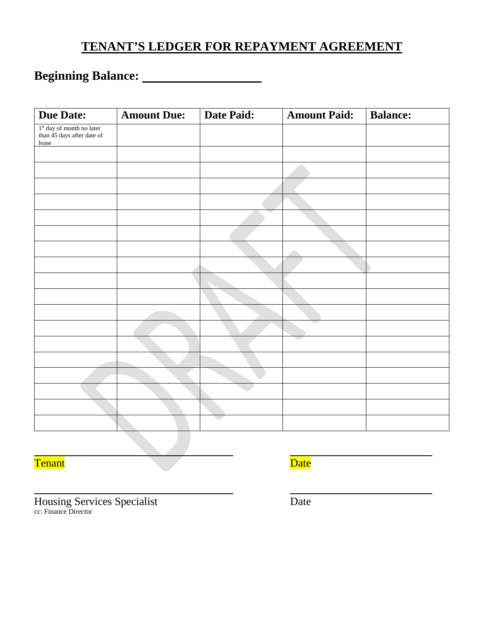# **TENANT'S LEDGER FOR REPAYMENT AGREEMENT**

# **Beginning Balance:**

| <b>Due Date:</b>                                                   | <b>Amount Due:</b> | <b>Date Paid:</b> | <b>Amount Paid:</b> | <b>Balance:</b> |
|--------------------------------------------------------------------|--------------------|-------------------|---------------------|-----------------|
| $1st$ day of month no later<br>than 45 days after date of<br>lease |                    |                   |                     |                 |
|                                                                    |                    |                   |                     |                 |
|                                                                    |                    |                   |                     |                 |
|                                                                    |                    |                   |                     |                 |
|                                                                    |                    |                   |                     |                 |
|                                                                    |                    |                   |                     |                 |
|                                                                    |                    |                   |                     |                 |
|                                                                    |                    |                   |                     |                 |
|                                                                    |                    |                   |                     |                 |
|                                                                    |                    |                   |                     |                 |
|                                                                    |                    |                   |                     |                 |
|                                                                    |                    |                   |                     |                 |
|                                                                    |                    |                   |                     |                 |
|                                                                    |                    |                   |                     |                 |
|                                                                    |                    |                   |                     |                 |
|                                                                    |                    |                   |                     |                 |
|                                                                    |                    |                   |                     |                 |
|                                                                    |                    |                   |                     |                 |
|                                                                    |                    |                   |                     |                 |

**Tenant** Date Date

Housing Services Specialist Date cc: Finance Director